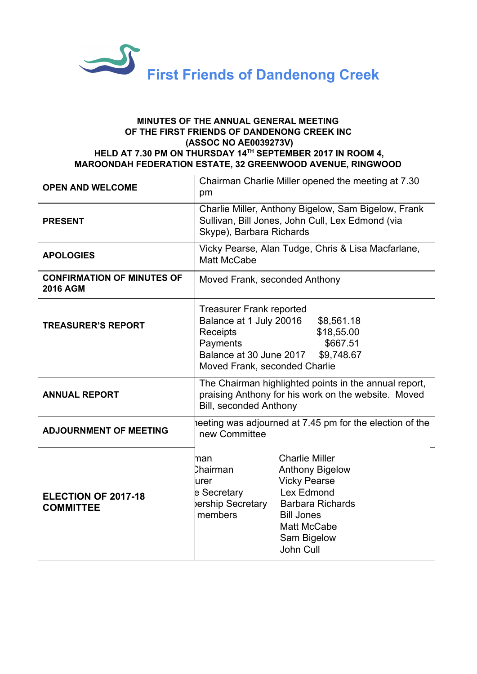

## **MINUTES OF THE ANNUAL GENERAL MEETING OF THE FIRST FRIENDS OF DANDENONG CREEK INC (ASSOC NO AE0039273V) HELD AT 7.30 PM ON THURSDAY 14 TH SEPTEMBER 2017 IN ROOM 4, MAROONDAH FEDERATION ESTATE, 32 GREENWOOD AVENUE, RINGWOOD**

| <b>OPEN AND WELCOME</b>                              | Chairman Charlie Miller opened the meeting at 7.30<br>pm                                                                                              |                                                                                                                                                                                 |
|------------------------------------------------------|-------------------------------------------------------------------------------------------------------------------------------------------------------|---------------------------------------------------------------------------------------------------------------------------------------------------------------------------------|
| <b>PRESENT</b>                                       | Charlie Miller, Anthony Bigelow, Sam Bigelow, Frank<br>Sullivan, Bill Jones, John Cull, Lex Edmond (via<br>Skype), Barbara Richards                   |                                                                                                                                                                                 |
| <b>APOLOGIES</b>                                     | Vicky Pearse, Alan Tudge, Chris & Lisa Macfarlane,<br>Matt McCabe                                                                                     |                                                                                                                                                                                 |
| <b>CONFIRMATION OF MINUTES OF</b><br><b>2016 AGM</b> | Moved Frank, seconded Anthony                                                                                                                         |                                                                                                                                                                                 |
| <b>TREASURER'S REPORT</b>                            | <b>Treasurer Frank reported</b><br>Balance at 1 July 20016<br><b>Receipts</b><br>Payments<br>Balance at 30 June 2017<br>Moved Frank, seconded Charlie | \$8,561.18<br>\$18,55.00<br>\$667.51<br>\$9,748.67                                                                                                                              |
| <b>ANNUAL REPORT</b>                                 | The Chairman highlighted points in the annual report,<br>praising Anthony for his work on the website. Moved<br><b>Bill, seconded Anthony</b>         |                                                                                                                                                                                 |
| <b>ADJOURNMENT OF MEETING</b>                        | neeting was adjourned at 7.45 pm for the election of the<br>new Committee                                                                             |                                                                                                                                                                                 |
| ELECTION OF 2017-18<br><b>COMMITTEE</b>              | man<br>Chairman<br>urer<br>e Secretary<br>bership Secretary<br>members                                                                                | <b>Charlie Miller</b><br><b>Anthony Bigelow</b><br><b>Vicky Pearse</b><br>Lex Edmond<br><b>Barbara Richards</b><br><b>Bill Jones</b><br>Matt McCabe<br>Sam Bigelow<br>John Cull |